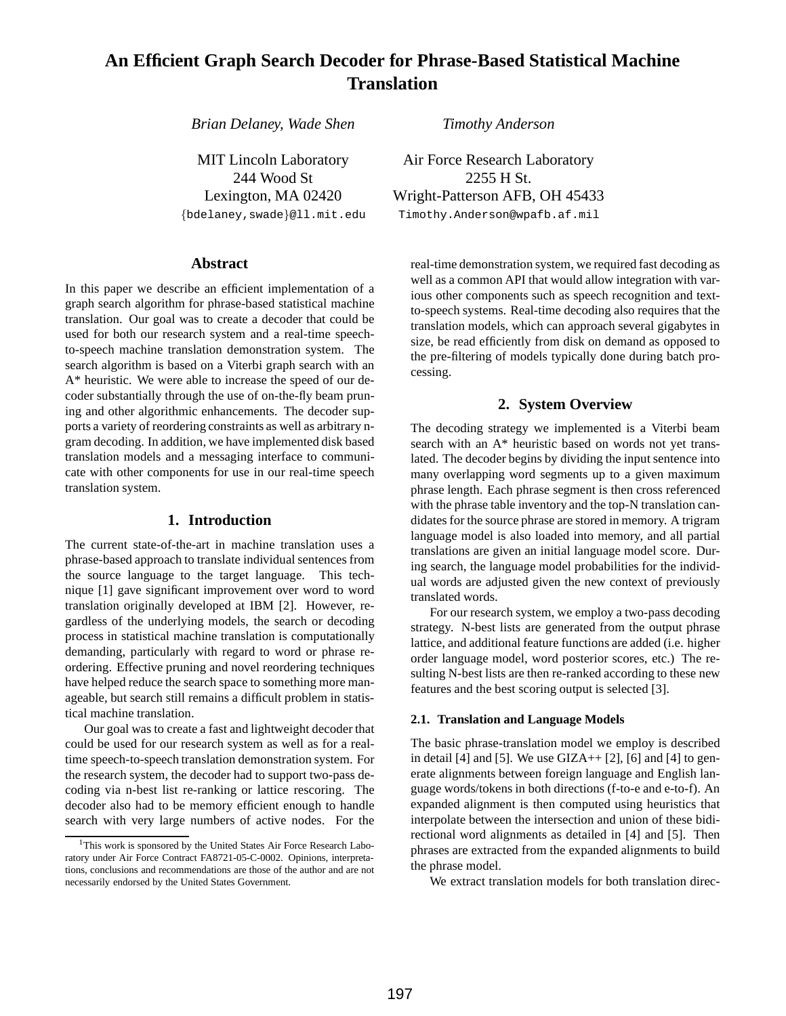# **An Efficient Graph Search Decoder for Phrase-Based Statistical Machine Translation**

*Brian Delaney, Wade Shen*

MIT Lincoln Laboratory 244 Wood St Lexington, MA 02420 {bdelaney,swade}@ll.mit.edu

## **Abstract**

In this paper we describe an efficient implementation of a graph search algorithm for phrase-based statistical machine translation. Our goal was to create a decoder that could be used for both our research system and a real-time speechto-speech machine translation demonstration system. The search algorithm is based on a Viterbi graph search with an A\* heuristic. We were able to increase the speed of our decoder substantially through the use of on-the-fly beam pruning and other algorithmic enhancements. The decoder supports a variety of reordering constraints as well as arbitrary ngram decoding. In addition, we have implemented disk based translation models and a messaging interface to communicate with other components for use in our real-time speech translation system.

# **1. Introduction**

The current state-of-the-art in machine translation uses a phrase-based approach to translate individual sentences from the source language to the target language. This technique [1] gave significant improvement over word to word translation originally developed at IBM [2]. However, regardless of the underlying models, the search or decoding process in statistical machine translation is computationally demanding, particularly with regard to word or phrase reordering. Effective pruning and novel reordering techniques have helped reduce the search space to something more manageable, but search still remains a difficult problem in statistical machine translation.

Our goal was to create a fast and lightweight decoder that could be used for our research system as well as for a realtime speech-to-speech translation demonstration system. For the research system, the decoder had to support two-pass decoding via n-best list re-ranking or lattice rescoring. The decoder also had to be memory efficient enough to handle search with very large numbers of active nodes. For the *Timothy Anderson*

Air Force Research Laboratory 2255 H St. Wright-Patterson AFB, OH 45433 Timothy.Anderson@wpafb.af.mil

real-time demonstration system, we required fast decoding as well as a common API that would allow integration with various other components such as speech recognition and textto-speech systems. Real-time decoding also requires that the translation models, which can approach several gigabytes in size, be read efficiently from disk on demand as opposed to the pre-filtering of models typically done during batch processing.

# **2. System Overview**

The decoding strategy we implemented is a Viterbi beam search with an A\* heuristic based on words not yet translated. The decoder begins by dividing the input sentence into many overlapping word segments up to a given maximum phrase length. Each phrase segment is then cross referenced with the phrase table inventory and the top-N translation candidates for the source phrase are stored in memory. A trigram language model is also loaded into memory, and all partial translations are given an initial language model score. During search, the language model probabilities for the individual words are adjusted given the new context of previously translated words.

For our research system, we employ a two-pass decoding strategy. N-best lists are generated from the output phrase lattice, and additional feature functions are added (i.e. higher order language model, word posterior scores, etc.) The resulting N-best lists are then re-ranked according to these new features and the best scoring output is selected [3].

### **2.1. Translation and Language Models**

The basic phrase-translation model we employ is described in detail [4] and [5]. We use  $GLAA+ [2]$ , [6] and [4] to generate alignments between foreign language and English language words/tokens in both directions (f-to-e and e-to-f). An expanded alignment is then computed using heuristics that interpolate between the intersection and union of these bidirectional word alignments as detailed in [4] and [5]. Then phrases are extracted from the expanded alignments to build the phrase model.

We extract translation models for both translation direc-

<sup>&</sup>lt;sup>1</sup>This work is sponsored by the United States Air Force Research Laboratory under Air Force Contract FA8721-05-C-0002. Opinions, interpretations, conclusions and recommendations are those of the author and are not necessarily endorsed by the United States Government.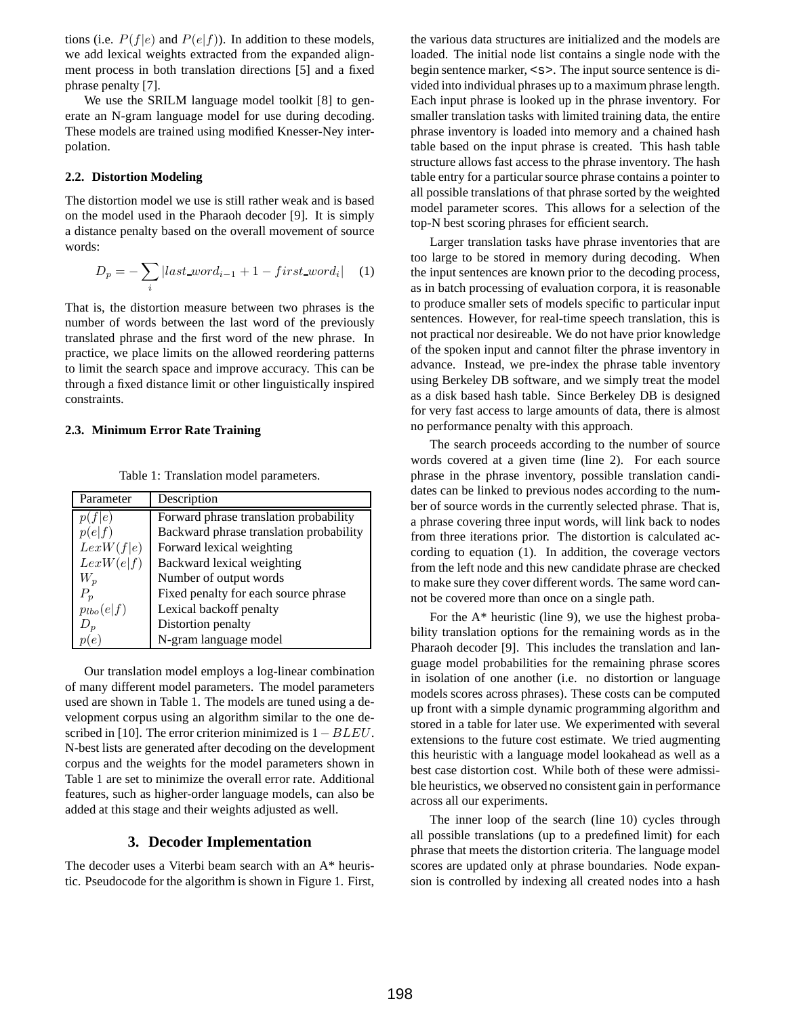tions (i.e.  $P(f|e)$  and  $P(e|f)$ ). In addition to these models, we add lexical weights extracted from the expanded alignment process in both translation directions [5] and a fixed phrase penalty [7].

We use the SRILM language model toolkit [8] to generate an N-gram language model for use during decoding. These models are trained using modified Knesser-Ney interpolation.

#### **2.2. Distortion Modeling**

The distortion model we use is still rather weak and is based on the model used in the Pharaoh decoder [9]. It is simply a distance penalty based on the overall movement of source words:

$$
D_p = -\sum_{i} |last\_word_{i-1} + 1 - first\_word_i| \quad (1)
$$

That is, the distortion measure between two phrases is the number of words between the last word of the previously translated phrase and the first word of the new phrase. In practice, we place limits on the allowed reordering patterns to limit the search space and improve accuracy. This can be through a fixed distance limit or other linguistically inspired constraints.

#### **2.3. Minimum Error Rate Training**

| Parameter      | Description                             |
|----------------|-----------------------------------------|
| p(f e)         | Forward phrase translation probability  |
| p(e f)         | Backward phrase translation probability |
| LexW(f e)      | Forward lexical weighting               |
| LexW(e f)      | Backward lexical weighting              |
| $W_p$          | Number of output words                  |
| $P_p$          | Fixed penalty for each source phrase    |
| $p_{lbo}(e f)$ | Lexical backoff penalty                 |
| $D_n$          | Distortion penalty                      |
|                | N-gram language model                   |

Table 1: Translation model parameters.

Our translation model employs a log-linear combination of many different model parameters. The model parameters used are shown in Table 1. The models are tuned using a development corpus using an algorithm similar to the one described in [10]. The error criterion minimized is  $1-BLEU$ . N-best lists are generated after decoding on the development corpus and the weights for the model parameters shown in Table 1 are set to minimize the overall error rate. Additional features, such as higher-order language models, can also be added at this stage and their weights adjusted as well.

## **3. Decoder Implementation**

The decoder uses a Viterbi beam search with an A\* heuristic. Pseudocode for the algorithm is shown in Figure 1. First,

the various data structures are initialized and the models are loaded. The initial node list contains a single node with the begin sentence marker, <s>. The input source sentence is divided into individual phrases up to a maximum phrase length. Each input phrase is looked up in the phrase inventory. For smaller translation tasks with limited training data, the entire phrase inventory is loaded into memory and a chained hash table based on the input phrase is created. This hash table structure allows fast access to the phrase inventory. The hash table entry for a particular source phrase contains a pointer to all possible translations of that phrase sorted by the weighted model parameter scores. This allows for a selection of the top-N best scoring phrases for efficient search.

Larger translation tasks have phrase inventories that are too large to be stored in memory during decoding. When the input sentences are known prior to the decoding process, as in batch processing of evaluation corpora, it is reasonable to produce smaller sets of models specific to particular input sentences. However, for real-time speech translation, this is not practical nor desireable. We do not have prior knowledge of the spoken input and cannot filter the phrase inventory in advance. Instead, we pre-index the phrase table inventory using Berkeley DB software, and we simply treat the model as a disk based hash table. Since Berkeley DB is designed for very fast access to large amounts of data, there is almost no performance penalty with this approach.

The search proceeds according to the number of source words covered at a given time (line 2). For each source phrase in the phrase inventory, possible translation candidates can be linked to previous nodes according to the number of source words in the currently selected phrase. That is, a phrase covering three input words, will link back to nodes from three iterations prior. The distortion is calculated according to equation (1). In addition, the coverage vectors from the left node and this new candidate phrase are checked to make sure they cover different words. The same word cannot be covered more than once on a single path.

For the  $A^*$  heuristic (line 9), we use the highest probability translation options for the remaining words as in the Pharaoh decoder [9]. This includes the translation and language model probabilities for the remaining phrase scores in isolation of one another (i.e. no distortion or language models scores across phrases). These costs can be computed up front with a simple dynamic programming algorithm and stored in a table for later use. We experimented with several extensions to the future cost estimate. We tried augmenting this heuristic with a language model lookahead as well as a best case distortion cost. While both of these were admissible heuristics, we observed no consistent gain in performance across all our experiments.

The inner loop of the search (line 10) cycles through all possible translations (up to a predefined limit) for each phrase that meets the distortion criteria. The language model scores are updated only at phrase boundaries. Node expansion is controlled by indexing all created nodes into a hash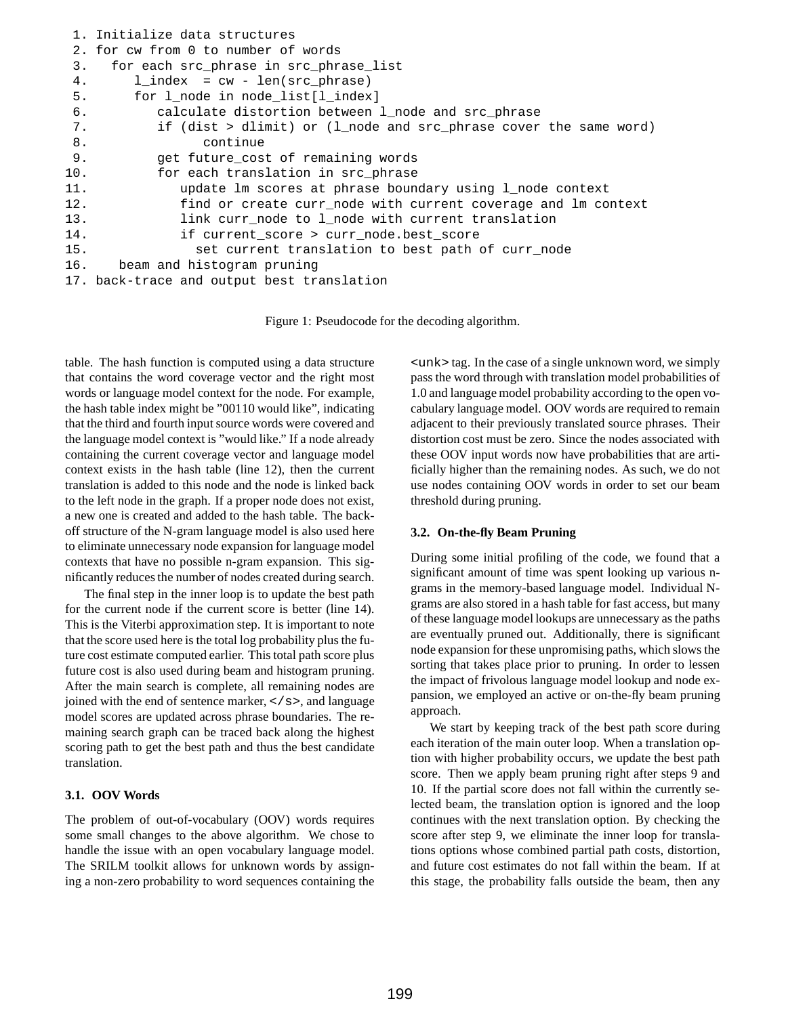```
1. Initialize data structures
2. for cw from 0 to number of words
3. for each src_phrase in src_phrase_list
4. l\_index = cw - len(src\_phrase)5. for l_node in node_list[l_index]
6. calculate distortion between l_node and src_phrase
7. if (dist > dlimit) or (l_node and src_phrase cover the same word)
8. continue
9. get future cost of remaining words
10. for each translation in src phrase
11. update lm scores at phrase boundary using l_node context
12. find or create curr_node with current coverage and lm context
13. link curr_node to l_node with current translation
14. if current score > curr node.best score
15. Set current translation to best path of curr node
16. beam and histogram pruning
17. back-trace and output best translation
```
Figure 1: Pseudocode for the decoding algorithm.

table. The hash function is computed using a data structure that contains the word coverage vector and the right most words or language model context for the node. For example, the hash table index might be "00110 would like", indicating that the third and fourth input source words were covered and the language model context is "would like." If a node already containing the current coverage vector and language model context exists in the hash table (line 12), then the current translation is added to this node and the node is linked back to the left node in the graph. If a proper node does not exist, a new one is created and added to the hash table. The backoff structure of the N-gram language model is also used here to eliminate unnecessary node expansion for language model contexts that have no possible n-gram expansion. This significantly reduces the number of nodes created during search.

The final step in the inner loop is to update the best path for the current node if the current score is better (line 14). This is the Viterbi approximation step. It is important to note that the score used here is the total log probability plus the future cost estimate computed earlier. This total path score plus future cost is also used during beam and histogram pruning. After the main search is complete, all remaining nodes are joined with the end of sentence marker,  $\langle \rangle$  s>, and language model scores are updated across phrase boundaries. The remaining search graph can be traced back along the highest scoring path to get the best path and thus the best candidate translation.

#### **3.1. OOV Words**

The problem of out-of-vocabulary (OOV) words requires some small changes to the above algorithm. We chose to handle the issue with an open vocabulary language model. The SRILM toolkit allows for unknown words by assigning a non-zero probability to word sequences containing the

<unk> tag. In the case of a single unknown word, we simply pass the word through with translation model probabilities of 1.0 and language model probability according to the open vocabulary language model. OOV words are required to remain adjacent to their previously translated source phrases. Their distortion cost must be zero. Since the nodes associated with these OOV input words now have probabilities that are artificially higher than the remaining nodes. As such, we do not use nodes containing OOV words in order to set our beam threshold during pruning.

#### **3.2. On-the-fly Beam Pruning**

During some initial profiling of the code, we found that a significant amount of time was spent looking up various ngrams in the memory-based language model. Individual Ngrams are also stored in a hash table for fast access, but many of these language model lookups are unnecessary as the paths are eventually pruned out. Additionally, there is significant node expansion for these unpromising paths, which slows the sorting that takes place prior to pruning. In order to lessen the impact of frivolous language model lookup and node expansion, we employed an active or on-the-fly beam pruning approach.

We start by keeping track of the best path score during each iteration of the main outer loop. When a translation option with higher probability occurs, we update the best path score. Then we apply beam pruning right after steps 9 and 10. If the partial score does not fall within the currently selected beam, the translation option is ignored and the loop continues with the next translation option. By checking the score after step 9, we eliminate the inner loop for translations options whose combined partial path costs, distortion, and future cost estimates do not fall within the beam. If at this stage, the probability falls outside the beam, then any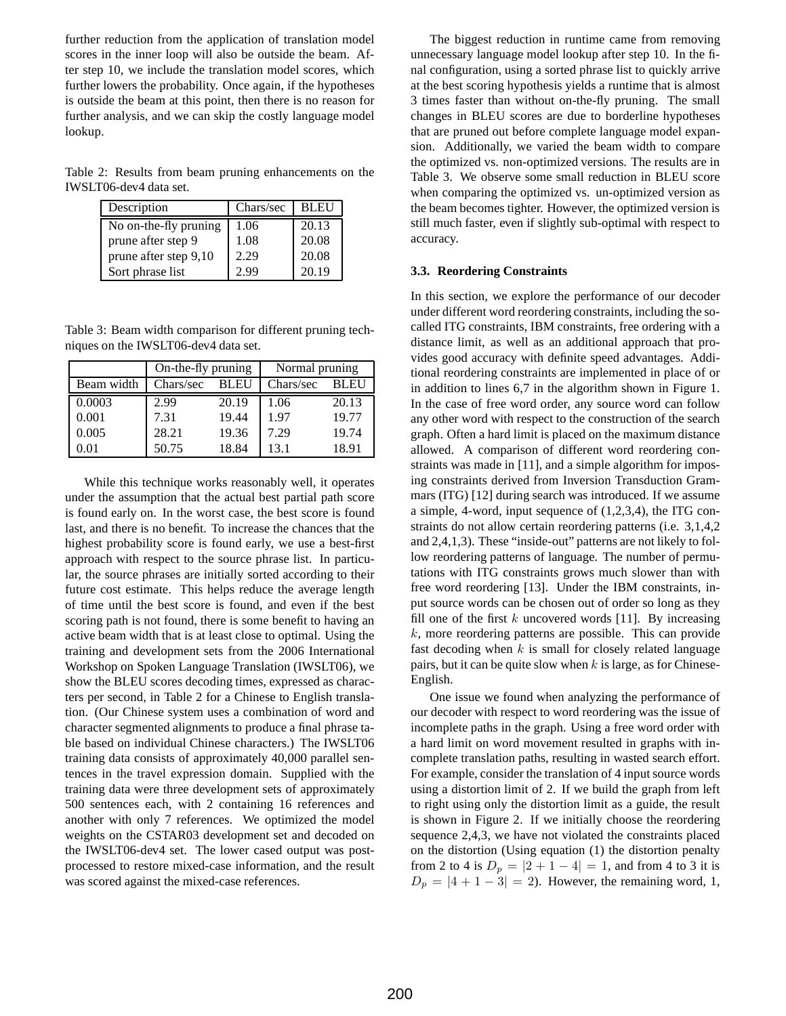further reduction from the application of translation model scores in the inner loop will also be outside the beam. After step 10, we include the translation model scores, which further lowers the probability. Once again, if the hypotheses is outside the beam at this point, then there is no reason for further analysis, and we can skip the costly language model lookup.

Table 2: Results from beam pruning enhancements on the IWSLT06-dev4 data set.

| Description           | Chars/sec | <b>BLEU</b> |
|-----------------------|-----------|-------------|
| No on-the-fly pruning | 1.06      | 20.13       |
| prune after step 9    | 1.08      | 20.08       |
| prune after step 9,10 | 2.29      | 20.08       |
| Sort phrase list      | 2.99      | 20.19       |

Table 3: Beam width comparison for different pruning techniques on the IWSLT06-dev4 data set.

|            | On-the-fly pruning       |       | Normal pruning |             |  |
|------------|--------------------------|-------|----------------|-------------|--|
| Beam width | <b>BLEU</b><br>Chars/sec |       | Chars/sec      | <b>BLEU</b> |  |
| 0.0003     | 2.99                     | 20.19 | 1.06           | 20.13       |  |
| 0.001      | 7.31                     | 19.44 | 1.97           | 19.77       |  |
| 0.005      | 28.21                    | 19.36 | 7.29           | 19.74       |  |
| 0.01       | 50.75                    | 18.84 | 13.1           | 18.91       |  |

While this technique works reasonably well, it operates under the assumption that the actual best partial path score is found early on. In the worst case, the best score is found last, and there is no benefit. To increase the chances that the highest probability score is found early, we use a best-first approach with respect to the source phrase list. In particular, the source phrases are initially sorted according to their future cost estimate. This helps reduce the average length of time until the best score is found, and even if the best scoring path is not found, there is some benefit to having an active beam width that is at least close to optimal. Using the training and development sets from the 2006 International Workshop on Spoken Language Translation (IWSLT06), we show the BLEU scores decoding times, expressed as characters per second, in Table 2 for a Chinese to English translation. (Our Chinese system uses a combination of word and character segmented alignments to produce a final phrase table based on individual Chinese characters.) The IWSLT06 training data consists of approximately 40,000 parallel sentences in the travel expression domain. Supplied with the training data were three development sets of approximately 500 sentences each, with 2 containing 16 references and another with only 7 references. We optimized the model weights on the CSTAR03 development set and decoded on the IWSLT06-dev4 set. The lower cased output was postprocessed to restore mixed-case information, and the result was scored against the mixed-case references.

The biggest reduction in runtime came from removing unnecessary language model lookup after step 10. In the final configuration, using a sorted phrase list to quickly arrive at the best scoring hypothesis yields a runtime that is almost 3 times faster than without on-the-fly pruning. The small changes in BLEU scores are due to borderline hypotheses that are pruned out before complete language model expansion. Additionally, we varied the beam width to compare the optimized vs. non-optimized versions. The results are in Table 3. We observe some small reduction in BLEU score when comparing the optimized vs. un-optimized version as the beam becomes tighter. However, the optimized version is still much faster, even if slightly sub-optimal with respect to accuracy.

#### **3.3. Reordering Constraints**

In this section, we explore the performance of our decoder under different word reordering constraints, including the socalled ITG constraints, IBM constraints, free ordering with a distance limit, as well as an additional approach that provides good accuracy with definite speed advantages. Additional reordering constraints are implemented in place of or in addition to lines 6,7 in the algorithm shown in Figure 1. In the case of free word order, any source word can follow any other word with respect to the construction of the search graph. Often a hard limit is placed on the maximum distance allowed. A comparison of different word reordering constraints was made in [11], and a simple algorithm for imposing constraints derived from Inversion Transduction Grammars (ITG) [12] during search was introduced. If we assume a simple, 4-word, input sequence of (1,2,3,4), the ITG constraints do not allow certain reordering patterns (i.e. 3,1,4,2 and 2,4,1,3). These "inside-out" patterns are not likely to follow reordering patterns of language. The number of permutations with ITG constraints grows much slower than with free word reordering [13]. Under the IBM constraints, input source words can be chosen out of order so long as they fill one of the first  $k$  uncovered words [11]. By increasing  $k$ , more reordering patterns are possible. This can provide fast decoding when  $k$  is small for closely related language pairs, but it can be quite slow when  $k$  is large, as for Chinese-English.

One issue we found when analyzing the performance of our decoder with respect to word reordering was the issue of incomplete paths in the graph. Using a free word order with a hard limit on word movement resulted in graphs with incomplete translation paths, resulting in wasted search effort. For example, consider the translation of 4 input source words using a distortion limit of 2. If we build the graph from left to right using only the distortion limit as a guide, the result is shown in Figure 2. If we initially choose the reordering sequence 2,4,3, we have not violated the constraints placed on the distortion (Using equation (1) the distortion penalty from 2 to 4 is  $D_p = |2 + 1 - 4| = 1$ , and from 4 to 3 it is  $D_p = |4 + 1 - 3| = 2$ . However, the remaining word, 1,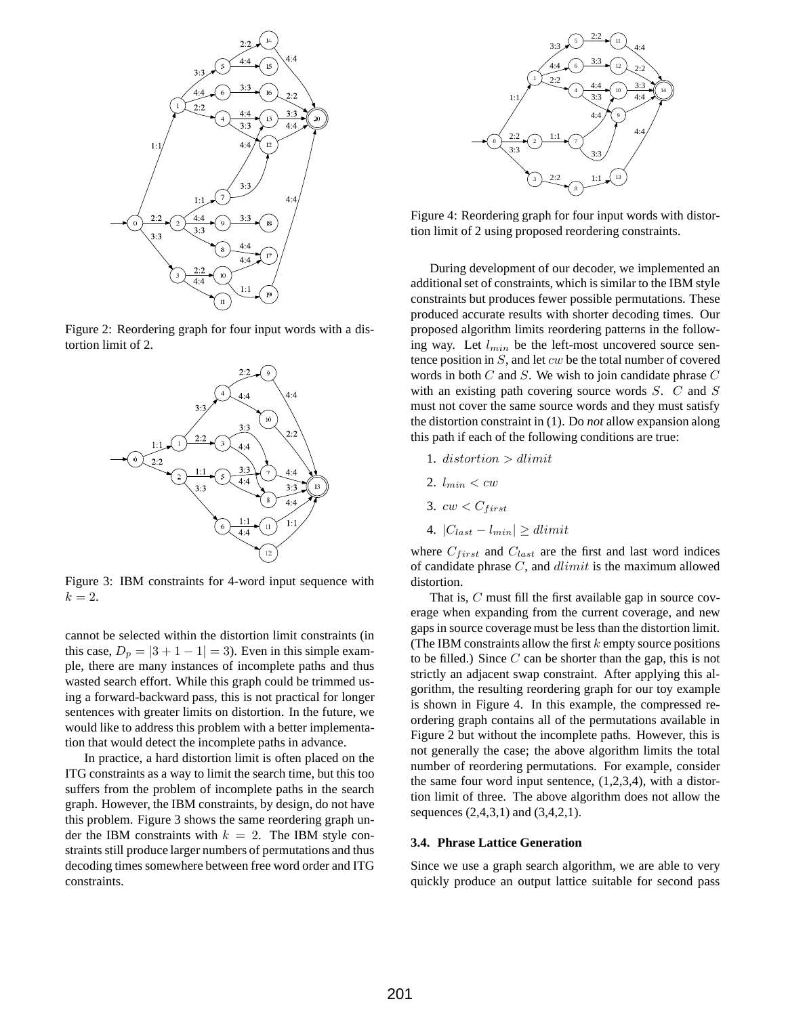

Figure 2: Reordering graph for four input words with a distortion limit of 2.



Figure 3: IBM constraints for 4-word input sequence with  $k=2.$ 

cannot be selected within the distortion limit constraints (in this case,  $D_p = |3 + 1 - 1| = 3$ . Even in this simple example, there are many instances of incomplete paths and thus wasted search effort. While this graph could be trimmed using a forward-backward pass, this is not practical for longer sentences with greater limits on distortion. In the future, we would like to address this problem with a better implementation that would detect the incomplete paths in advance.

In practice, a hard distortion limit is often placed on the ITG constraints as a way to limit the search time, but this too suffers from the problem of incomplete paths in the search graph. However, the IBM constraints, by design, do not have this problem. Figure 3 shows the same reordering graph under the IBM constraints with  $k = 2$ . The IBM style constraints still produce larger numbers of permutations and thus decoding times somewhere between free word order and ITG constraints.



Figure 4: Reordering graph for four input words with distortion limit of 2 using proposed reordering constraints.

During development of our decoder, we implemented an additional set of constraints, which is similar to the IBM style constraints but produces fewer possible permutations. These produced accurate results with shorter decoding times. Our proposed algorithm limits reordering patterns in the following way. Let  $l_{min}$  be the left-most uncovered source sentence position in  $S$ , and let  $cw$  be the total number of covered words in both  $C$  and  $S$ . We wish to join candidate phrase  $C$ with an existing path covering source words  $S$ .  $C$  and  $S$ must not cover the same source words and they must satisfy the distortion constraint in (1). Do *not* allow expansion along this path if each of the following conditions are true:

- 1. distortion  $>$  dlimit
- 2.  $l_{min} < cw$
- 3.  $cw < C_{first}$
- 4.  $|C_{last} l_{min}| \geq dlimit$

where  $C_{first}$  and  $C_{last}$  are the first and last word indices of candidate phrase  $C$ , and  $dlimit$  is the maximum allowed distortion.

That is, C must fill the first available gap in source coverage when expanding from the current coverage, and new gaps in source coverage must be less than the distortion limit. (The IBM constraints allow the first  $k$  empty source positions to be filled.) Since  $C$  can be shorter than the gap, this is not strictly an adjacent swap constraint. After applying this algorithm, the resulting reordering graph for our toy example is shown in Figure 4. In this example, the compressed reordering graph contains all of the permutations available in Figure 2 but without the incomplete paths. However, this is not generally the case; the above algorithm limits the total number of reordering permutations. For example, consider the same four word input sentence,  $(1,2,3,4)$ , with a distortion limit of three. The above algorithm does not allow the sequences (2,4,3,1) and (3,4,2,1).

#### **3.4. Phrase Lattice Generation**

Since we use a graph search algorithm, we are able to very quickly produce an output lattice suitable for second pass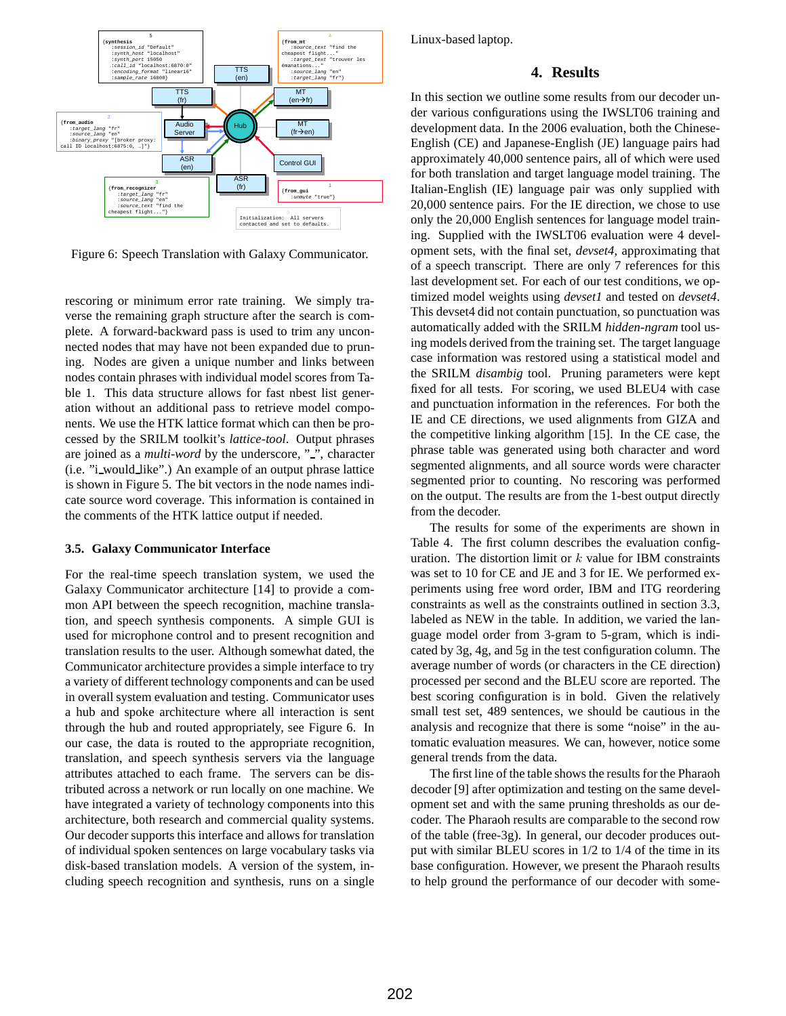

Figure 6: Speech Translation with Galaxy Communicator.

rescoring or minimum error rate training. We simply traverse the remaining graph structure after the search is complete. A forward-backward pass is used to trim any unconnected nodes that may have not been expanded due to pruning. Nodes are given a unique number and links between nodes contain phrases with individual model scores from Table 1. This data structure allows for fast nbest list generation without an additional pass to retrieve model components. We use the HTK lattice format which can then be processed by the SRILM toolkit's *lattice-tool*. Output phrases are joined as a *multi-word* by the underscore, "", character (i.e. "i would like".) An example of an output phrase lattice is shown in Figure 5. The bit vectors in the node names indicate source word coverage. This information is contained in the comments of the HTK lattice output if needed.

#### **3.5. Galaxy Communicator Interface**

For the real-time speech translation system, we used the Galaxy Communicator architecture [14] to provide a common API between the speech recognition, machine translation, and speech synthesis components. A simple GUI is used for microphone control and to present recognition and translation results to the user. Although somewhat dated, the Communicator architecture provides a simple interface to try a variety of different technology components and can be used in overall system evaluation and testing. Communicator uses a hub and spoke architecture where all interaction is sent through the hub and routed appropriately, see Figure 6. In our case, the data is routed to the appropriate recognition, translation, and speech synthesis servers via the language attributes attached to each frame. The servers can be distributed across a network or run locally on one machine. We have integrated a variety of technology components into this architecture, both research and commercial quality systems. Our decoder supports this interface and allows for translation of individual spoken sentences on large vocabulary tasks via disk-based translation models. A version of the system, including speech recognition and synthesis, runs on a single

Linux-based laptop.

## **4. Results**

In this section we outline some results from our decoder under various configurations using the IWSLT06 training and development data. In the 2006 evaluation, both the Chinese-English (CE) and Japanese-English (JE) language pairs had approximately 40,000 sentence pairs, all of which were used for both translation and target language model training. The Italian-English (IE) language pair was only supplied with 20,000 sentence pairs. For the IE direction, we chose to use only the 20,000 English sentences for language model training. Supplied with the IWSLT06 evaluation were 4 development sets, with the final set, *devset4*, approximating that of a speech transcript. There are only 7 references for this last development set. For each of our test conditions, we optimized model weights using *devset1* and tested on *devset4*. This devset4 did not contain punctuation, so punctuation was automatically added with the SRILM *hidden-ngram* tool using models derived from the training set. The target language case information was restored using a statistical model and the SRILM *disambig* tool. Pruning parameters were kept fixed for all tests. For scoring, we used BLEU4 with case and punctuation information in the references. For both the IE and CE directions, we used alignments from GIZA and the competitive linking algorithm [15]. In the CE case, the phrase table was generated using both character and word segmented alignments, and all source words were character segmented prior to counting. No rescoring was performed on the output. The results are from the 1-best output directly from the decoder.

The results for some of the experiments are shown in Table 4. The first column describes the evaluation configuration. The distortion limit or  $k$  value for IBM constraints was set to 10 for CE and JE and 3 for IE. We performed experiments using free word order, IBM and ITG reordering constraints as well as the constraints outlined in section 3.3, labeled as NEW in the table. In addition, we varied the language model order from 3-gram to 5-gram, which is indicated by 3g, 4g, and 5g in the test configuration column. The average number of words (or characters in the CE direction) processed per second and the BLEU score are reported. The best scoring configuration is in bold. Given the relatively small test set, 489 sentences, we should be cautious in the analysis and recognize that there is some "noise" in the automatic evaluation measures. We can, however, notice some general trends from the data.

The first line of the table shows the results for the Pharaoh decoder [9] after optimization and testing on the same development set and with the same pruning thresholds as our decoder. The Pharaoh results are comparable to the second row of the table (free-3g). In general, our decoder produces output with similar BLEU scores in 1/2 to 1/4 of the time in its base configuration. However, we present the Pharaoh results to help ground the performance of our decoder with some-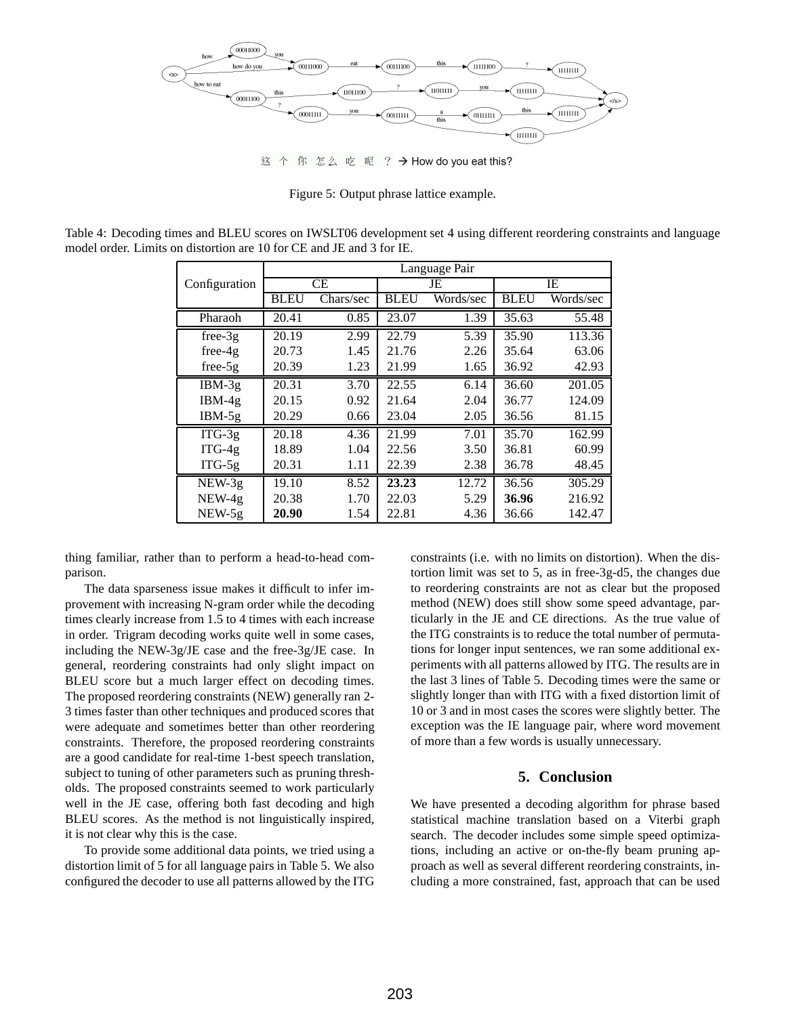

这个你怎么吃呢  $?$   $\rightarrow$  How do you eat this?

Figure 5: Output phrase lattice example.

Table 4: Decoding times and BLEU scores on IWSLT06 development set 4 using different reordering constraints and language model order. Limits on distortion are 10 for CE and JE and 3 for IE.

|                     | Language Pair |           |             |           |             |           |
|---------------------|---------------|-----------|-------------|-----------|-------------|-----------|
| Configuration       | CЕ            |           | JE          |           | IE          |           |
|                     | <b>BLEU</b>   | Chars/sec | <b>BLEU</b> | Words/sec | <b>BLEU</b> | Words/sec |
| Pharaoh             | 20.41         | 0.85      | 23.07       | 1.39      | 35.63       | 55.48     |
| $free-3g$           | 20.19         | 2.99      | 22.79       | 5.39      | 35.90       | 113.36    |
| $free-4g$           | 20.73         | 1.45      | 21.76       | 2.26      | 35.64       | 63.06     |
| $free-5g$           | 20.39         | 1.23      | 21.99       | 1.65      | 36.92       | 42.93     |
| $IBM-3g$            | 20.31         | 3.70      | 22.55       | 6.14      | 36.60       | 201.05    |
| $IBM-4g$            | 20.15         | 0.92      | 21.64       | 2.04      | 36.77       | 124.09    |
| $IBM-5g$            | 20.29         | 0.66      | 23.04       | 2.05      | 36.56       | 81.15     |
| $\overline{ITG-3g}$ | 20.18         | 4.36      | 21.99       | 7.01      | 35.70       | 162.99    |
| $ITG-4g$            | 18.89         | 1.04      | 22.56       | 3.50      | 36.81       | 60.99     |
| $ITG-5g$            | 20.31         | 1.11      | 22.39       | 2.38      | 36.78       | 48.45     |
| $NEW-3g$            | 19.10         | 8.52      | 23.23       | 12.72     | 36.56       | 305.29    |
| $NEW-4g$            | 20.38         | 1.70      | 22.03       | 5.29      | 36.96       | 216.92    |
| $NEW-5g$            | 20.90         | 1.54      | 22.81       | 4.36      | 36.66       | 142.47    |

thing familiar, rather than to perform a head-to-head comparison.

The data sparseness issue makes it difficult to infer improvement with increasing N-gram order while the decoding times clearly increase from 1.5 to 4 times with each increase in order. Trigram decoding works quite well in some cases, including the NEW-3g/JE case and the free-3g/JE case. In general, reordering constraints had only slight impact on BLEU score but a much larger effect on decoding times. The proposed reordering constraints (NEW) generally ran 2- 3 times faster than other techniques and produced scores that were adequate and sometimes better than other reordering constraints. Therefore, the proposed reordering constraints are a good candidate for real-time 1-best speech translation, subject to tuning of other parameters such as pruning thresholds. The proposed constraints seemed to work particularly well in the JE case, offering both fast decoding and high BLEU scores. As the method is not linguistically inspired, it is not clear why this is the case.

To provide some additional data points, we tried using a distortion limit of 5 for all language pairs in Table 5. We also configured the decoder to use all patterns allowed by the ITG constraints (i.e. with no limits on distortion). When the distortion limit was set to 5, as in free-3g-d5, the changes due to reordering constraints are not as clear but the proposed method (NEW) does still show some speed advantage, particularly in the JE and CE directions. As the true value of the ITG constraints is to reduce the total number of permutations for longer input sentences, we ran some additional experiments with all patterns allowed by ITG. The results are in the last 3 lines of Table 5. Decoding times were the same or slightly longer than with ITG with a fixed distortion limit of 10 or 3 and in most cases the scores were slightly better. The exception was the IE language pair, where word movement of more than a few words is usually unnecessary.

## **5. Conclusion**

We have presented a decoding algorithm for phrase based statistical machine translation based on a Viterbi graph search. The decoder includes some simple speed optimizations, including an active or on-the-fly beam pruning approach as well as several different reordering constraints, including a more constrained, fast, approach that can be used